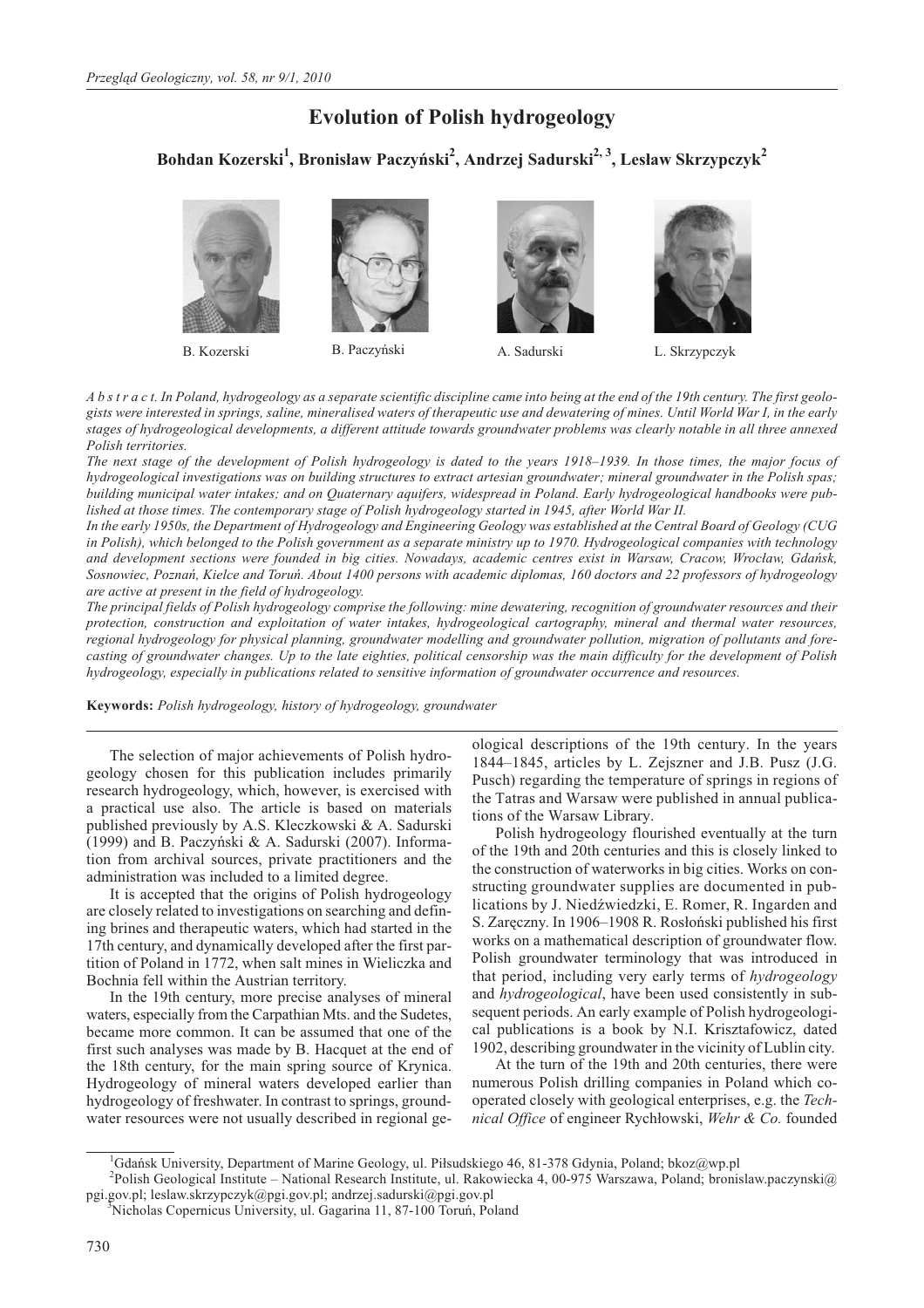# **Evolution of Polish hydrogeology**

**Bohdan Kozerski<sup>1</sup> , Bronis³aw Paczyñski<sup>2</sup> , Andrzej Sadurski2, 3, Les³aw Skrzypczyk2**













*A b s t r a c t. In Poland, hydrogeology as a separate scientific discipline came into being at the end of the 19th century. The first geologists were interested in springs, saline, mineralised waters of therapeutic use and dewatering of mines. Until World War I, in the early stages of hydrogeological developments, a different attitude towards groundwater problems was clearly notable in all three annexed Polish territories.*

*The next stage of the development of Polish hydrogeology is dated to the years 1918–1939. In those times, the major focus of hydrogeological investigations was on building structures to extract artesian groundwater; mineral groundwater in the Polish spas; building municipal water intakes; and on Quaternary aquifers, widespread in Poland. Early hydrogeological handbooks were published at those times. The contemporary stage of Polish hydrogeology started in 1945, after World War II.*

*In the early 1950s, the Department of Hydrogeology and Engineering Geology was established at the Central Board of Geology (CUG in Polish), which belonged to the Polish government as a separate ministry up to 1970. Hydrogeological companies with technology* and development sections were founded in big cities. Nowadays, academic centres exist in Warsaw, Cracow, Wrocław, Gdańsk, *Sosnowiec, Poznañ, Kielce and Toruñ. About 1400 persons with academic diplomas, 160 doctors and 22 professors of hydrogeology are active at present in the field of hydrogeology.*

*The principal fields of Polish hydrogeology comprise the following: mine dewatering, recognition of groundwater resources and their protection, construction and exploitation of water intakes, hydrogeological cartography, mineral and thermal water resources, regional hydrogeology for physical planning, groundwater modelling and groundwater pollution, migration of pollutants and forecasting of groundwater changes. Up to the late eighties, political censorship was the main difficulty for the development of Polish hydrogeology, especially in publications related to sensitive information of groundwater occurrence and resources.*

**Keywords:** *Polish hydrogeology, history of hydrogeology, groundwater*

The selection of major achievements of Polish hydrogeology chosen for this publication includes primarily research hydrogeology, which, however, is exercised with a practical use also. The article is based on materials published previously by A.S. Kleczkowski & A. Sadurski (1999) and B. Paczyñski & A. Sadurski (2007). Information from archival sources, private practitioners and the administration was included to a limited degree.

It is accepted that the origins of Polish hydrogeology are closely related to investigations on searching and defining brines and therapeutic waters, which had started in the 17th century, and dynamically developed after the first partition of Poland in 1772, when salt mines in Wieliczka and Bochnia fell within the Austrian territory.

In the 19th century, more precise analyses of mineral waters, especially from the Carpathian Mts. and the Sudetes, became more common. It can be assumed that one of the first such analyses was made by B. Hacquet at the end of the 18th century, for the main spring source of Krynica. Hydrogeology of mineral waters developed earlier than hydrogeology of freshwater. In contrast to springs, groundwater resources were not usually described in regional geological descriptions of the 19th century. In the years 1844–1845, articles by L. Zejszner and J.B. Pusz (J.G. Pusch) regarding the temperature of springs in regions of the Tatras and Warsaw were published in annual publications of the Warsaw Library.

Polish hydrogeology flourished eventually at the turn of the 19th and 20th centuries and this is closely linked to the construction of waterworks in big cities. Works on constructing groundwater supplies are documented in publications by J. Niedźwiedzki, E. Romer, R. Ingarden and S. Zaręczny. In 1906–1908 R. Rosłoński published his first works on a mathematical description of groundwater flow. Polish groundwater terminology that was introduced in that period, including very early terms of *hydrogeology* and *hydrogeological*, have been used consistently in subsequent periods. An early example of Polish hydrogeological publications is a book by N.I. Krisztafowicz, dated 1902, describing groundwater in the vicinity of Lublin city.

At the turn of the 19th and 20th centuries, there were numerous Polish drilling companies in Poland which cooperated closely with geological enterprises, e.g. the *Technical Office* of engineer Rychłowski, *Wehr & Co.* founded

<sup>&</sup>lt;sup>1</sup>Gdańsk University, Department of Marine Geology, ul. Piłsudskiego 46, 81-378 Gdynia, Poland; bkoz@wp.pl

<sup>&</sup>lt;sup>2</sup>Polish Geological Institute – National Research Institute, ul. Rakowiecka 4, 00-975 Warszawa, Poland; bronislaw.paczynski@ pgi.gov.pl; leslaw.skrzypczyk@pgi.gov.pl; andrzej.sadurski@pgi.gov.pl <sup>3</sup>

Nicholas Copernicus University, ul. Gagarina 11, 87-100 Toruñ, Poland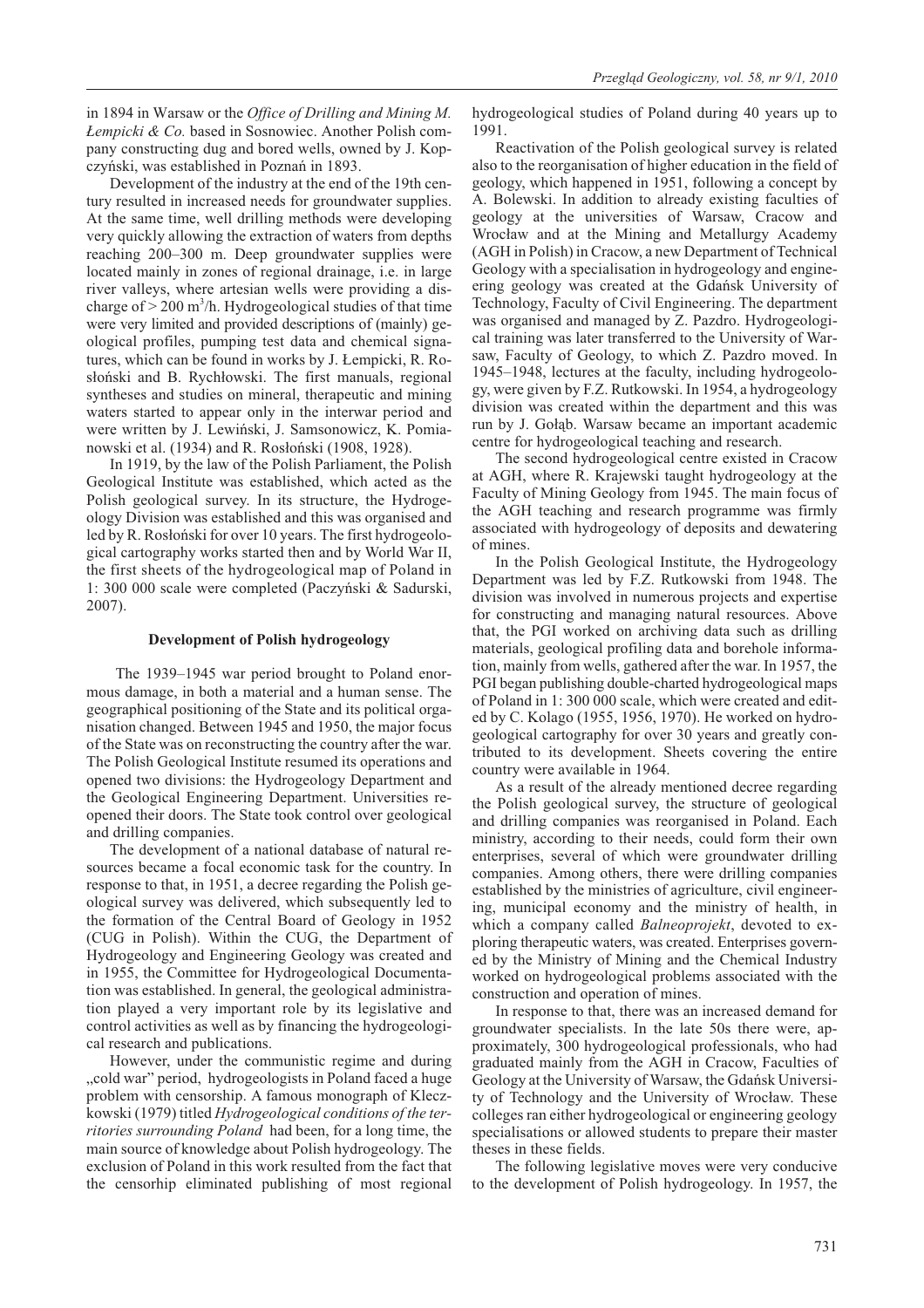in 1894 in Warsaw or the *Office of Drilling and Mining M. £empicki & Co.* based in Sosnowiec. Another Polish company constructing dug and bored wells, owned by J. Kopczyñski, was established in Poznañ in 1893.

Development of the industry at the end of the 19th century resulted in increased needs for groundwater supplies. At the same time, well drilling methods were developing very quickly allowing the extraction of waters from depths reaching 200–300 m. Deep groundwater supplies were located mainly in zones of regional drainage, i.e. in large river valleys, where artesian wells were providing a discharge of  $> 200$  m<sup>3</sup>/h. Hydrogeological studies of that time were very limited and provided descriptions of (mainly) geological profiles, pumping test data and chemical signatures, which can be found in works by J. £empicki, R. Rosłoński and B. Rychłowski. The first manuals, regional syntheses and studies on mineral, therapeutic and mining waters started to appear only in the interwar period and were written by J. Lewiñski, J. Samsonowicz, K. Pomianowski et al. (1934) and R. Rosłoński (1908, 1928).

In 1919, by the law of the Polish Parliament, the Polish Geological Institute was established, which acted as the Polish geological survey. In its structure, the Hydrogeology Division was established and this was organised and led by R. Rosłoński for over 10 years. The first hydrogeological cartography works started then and by World War II, the first sheets of the hydrogeological map of Poland in 1: 300 000 scale were completed (Paczyñski & Sadurski, 2007).

### **Development of Polish hydrogeology**

The 1939–1945 war period brought to Poland enormous damage, in both a material and a human sense. The geographical positioning of the State and its political organisation changed. Between 1945 and 1950, the major focus of the State was on reconstructing the country after the war. The Polish Geological Institute resumed its operations and opened two divisions: the Hydrogeology Department and the Geological Engineering Department. Universities reopened their doors. The State took control over geological and drilling companies.

The development of a national database of natural resources became a focal economic task for the country. In response to that, in 1951, a decree regarding the Polish geological survey was delivered, which subsequently led to the formation of the Central Board of Geology in 1952 (CUG in Polish). Within the CUG, the Department of Hydrogeology and Engineering Geology was created and in 1955, the Committee for Hydrogeological Documentation was established. In general, the geological administration played a very important role by its legislative and control activities as well as by financing the hydrogeological research and publications.

However, under the communistic regime and during "cold war" period, hydrogeologists in Poland faced a huge problem with censorship. A famous monograph of Kleczkowski (1979) titled *Hydrogeological conditions of the territories surrounding Poland* had been, for a long time, the main source of knowledge about Polish hydrogeology. The exclusion of Poland in this work resulted from the fact that the censorhip eliminated publishing of most regional hydrogeological studies of Poland during 40 years up to 1991.

Reactivation of the Polish geological survey is related also to the reorganisation of higher education in the field of geology, which happened in 1951, following a concept by A. Bolewski. In addition to already existing faculties of geology at the universities of Warsaw, Cracow and Wrocław and at the Mining and Metallurgy Academy (AGH in Polish) in Cracow, a new Department of Technical Geology with a specialisation in hydrogeology and engineering geology was created at the Gdañsk University of Technology, Faculty of Civil Engineering. The department was organised and managed by Z. Pazdro. Hydrogeological training was later transferred to the University of Warsaw, Faculty of Geology, to which Z. Pazdro moved. In 1945–1948, lectures at the faculty, including hydrogeology, were given by F.Z. Rutkowski. In 1954, a hydrogeology division was created within the department and this was run by J. Gołąb. Warsaw became an important academic centre for hydrogeological teaching and research.

The second hydrogeological centre existed in Cracow at AGH, where R. Krajewski taught hydrogeology at the Faculty of Mining Geology from 1945. The main focus of the AGH teaching and research programme was firmly associated with hydrogeology of deposits and dewatering of mines.

In the Polish Geological Institute, the Hydrogeology Department was led by F.Z. Rutkowski from 1948. The division was involved in numerous projects and expertise for constructing and managing natural resources. Above that, the PGI worked on archiving data such as drilling materials, geological profiling data and borehole information, mainly from wells, gathered after the war. In 1957, the PGI began publishing double-charted hydrogeological maps of Poland in 1: 300 000 scale, which were created and edited by C. Kolago (1955, 1956, 1970). He worked on hydrogeological cartography for over 30 years and greatly contributed to its development. Sheets covering the entire country were available in 1964.

As a result of the already mentioned decree regarding the Polish geological survey, the structure of geological and drilling companies was reorganised in Poland. Each ministry, according to their needs, could form their own enterprises, several of which were groundwater drilling companies. Among others, there were drilling companies established by the ministries of agriculture, civil engineering, municipal economy and the ministry of health, in which a company called *Balneoprojekt*, devoted to exploring therapeutic waters, was created. Enterprises governed by the Ministry of Mining and the Chemical Industry worked on hydrogeological problems associated with the construction and operation of mines.

In response to that, there was an increased demand for groundwater specialists. In the late 50s there were, approximately, 300 hydrogeological professionals, who had graduated mainly from the AGH in Cracow, Faculties of Geology at the University of Warsaw, the Gdañsk University of Technology and the University of Wrocław. These colleges ran either hydrogeological or engineering geology specialisations or allowed students to prepare their master theses in these fields.

The following legislative moves were very conducive to the development of Polish hydrogeology. In 1957, the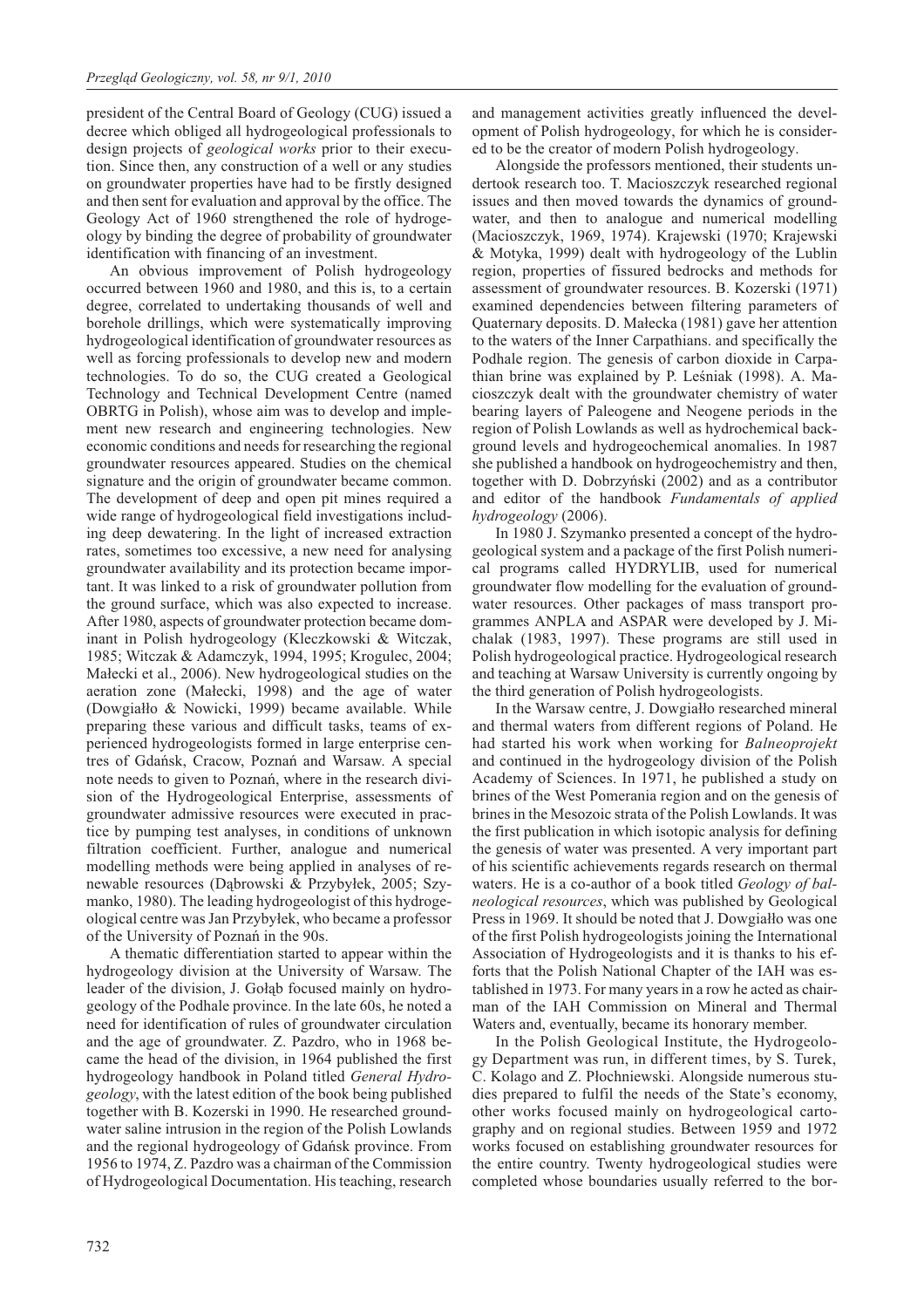president of the Central Board of Geology (CUG) issued a decree which obliged all hydrogeological professionals to design projects of *geological works* prior to their execution. Since then, any construction of a well or any studies on groundwater properties have had to be firstly designed and then sent for evaluation and approval by the office. The Geology Act of 1960 strengthened the role of hydrogeology by binding the degree of probability of groundwater identification with financing of an investment.

An obvious improvement of Polish hydrogeology occurred between 1960 and 1980, and this is, to a certain degree, correlated to undertaking thousands of well and borehole drillings, which were systematically improving hydrogeological identification of groundwater resources as well as forcing professionals to develop new and modern technologies. To do so, the CUG created a Geological Technology and Technical Development Centre (named OBRTG in Polish), whose aim was to develop and implement new research and engineering technologies. New economic conditions and needs for researching the regional groundwater resources appeared. Studies on the chemical signature and the origin of groundwater became common. The development of deep and open pit mines required a wide range of hydrogeological field investigations including deep dewatering. In the light of increased extraction rates, sometimes too excessive, a new need for analysing groundwater availability and its protection became important. It was linked to a risk of groundwater pollution from the ground surface, which was also expected to increase. After 1980, aspects of groundwater protection became dominant in Polish hydrogeology (Kleczkowski & Witczak, 1985; Witczak & Adamczyk, 1994, 1995; Krogulec, 2004; Małecki et al., 2006). New hydrogeological studies on the aeration zone (Małecki, 1998) and the age of water (Dowgiałło  $&$  Nowicki, 1999) became available. While preparing these various and difficult tasks, teams of experienced hydrogeologists formed in large enterprise centres of Gdañsk, Cracow, Poznañ and Warsaw. A special note needs to given to Poznañ, where in the research division of the Hydrogeological Enterprise, assessments of groundwater admissive resources were executed in practice by pumping test analyses, in conditions of unknown filtration coefficient. Further, analogue and numerical modelling methods were being applied in analyses of renewable resources (Dabrowski & Przybyłek, 2005; Szymanko, 1980). The leading hydrogeologist of this hydrogeological centre was Jan Przybyłek, who became a professor of the University of Poznañ in the 90s.

A thematic differentiation started to appear within the hydrogeology division at the University of Warsaw. The leader of the division, J. Gołąb focused mainly on hydrogeology of the Podhale province. In the late 60s, he noted a need for identification of rules of groundwater circulation and the age of groundwater. Z. Pazdro, who in 1968 became the head of the division, in 1964 published the first hydrogeology handbook in Poland titled *General Hydrogeology*, with the latest edition of the book being published together with B. Kozerski in 1990. He researched groundwater saline intrusion in the region of the Polish Lowlands and the regional hydrogeology of Gdañsk province. From 1956 to 1974, Z. Pazdro was a chairman of the Commission of Hydrogeological Documentation. His teaching, research

and management activities greatly influenced the development of Polish hydrogeology, for which he is considered to be the creator of modern Polish hydrogeology.

Alongside the professors mentioned, their students undertook research too. T. Macioszczyk researched regional issues and then moved towards the dynamics of groundwater, and then to analogue and numerical modelling (Macioszczyk, 1969, 1974). Krajewski (1970; Krajewski & Motyka, 1999) dealt with hydrogeology of the Lublin region, properties of fissured bedrocks and methods for assessment of groundwater resources. B. Kozerski (1971) examined dependencies between filtering parameters of Quaternary deposits. D. Małecka (1981) gave her attention to the waters of the Inner Carpathians. and specifically the Podhale region. The genesis of carbon dioxide in Carpathian brine was explained by P. Leśniak (1998). A. Macioszczyk dealt with the groundwater chemistry of water bearing layers of Paleogene and Neogene periods in the region of Polish Lowlands as well as hydrochemical background levels and hydrogeochemical anomalies. In 1987 she published a handbook on hydrogeochemistry and then, together with D. Dobrzyñski (2002) and as a contributor and editor of the handbook *Fundamentals of applied hydrogeology* (2006).

In 1980 J. Szymanko presented a concept of the hydrogeological system and a package of the first Polish numerical programs called HYDRYLIB, used for numerical groundwater flow modelling for the evaluation of groundwater resources. Other packages of mass transport programmes ANPLA and ASPAR were developed by J. Michalak (1983, 1997). These programs are still used in Polish hydrogeological practice. Hydrogeological research and teaching at Warsaw University is currently ongoing by the third generation of Polish hydrogeologists.

In the Warsaw centre, J. Dowgiałło researched mineral and thermal waters from different regions of Poland. He had started his work when working for *Balneoprojekt* and continued in the hydrogeology division of the Polish Academy of Sciences. In 1971, he published a study on brines of the West Pomerania region and on the genesis of brines in the Mesozoic strata of the Polish Lowlands. It was the first publication in which isotopic analysis for defining the genesis of water was presented. A very important part of his scientific achievements regards research on thermal waters. He is a co-author of a book titled *Geology of balneological resources*, which was published by Geological Press in 1969. It should be noted that J. Dowgiałło was one of the first Polish hydrogeologists joining the International Association of Hydrogeologists and it is thanks to his efforts that the Polish National Chapter of the IAH was established in 1973. For many years in a row he acted as chairman of the IAH Commission on Mineral and Thermal Waters and, eventually, became its honorary member.

In the Polish Geological Institute, the Hydrogeology Department was run, in different times, by S. Turek, C. Kolago and Z. Płochniewski. Alongside numerous studies prepared to fulfil the needs of the State's economy, other works focused mainly on hydrogeological cartography and on regional studies. Between 1959 and 1972 works focused on establishing groundwater resources for the entire country. Twenty hydrogeological studies were completed whose boundaries usually referred to the bor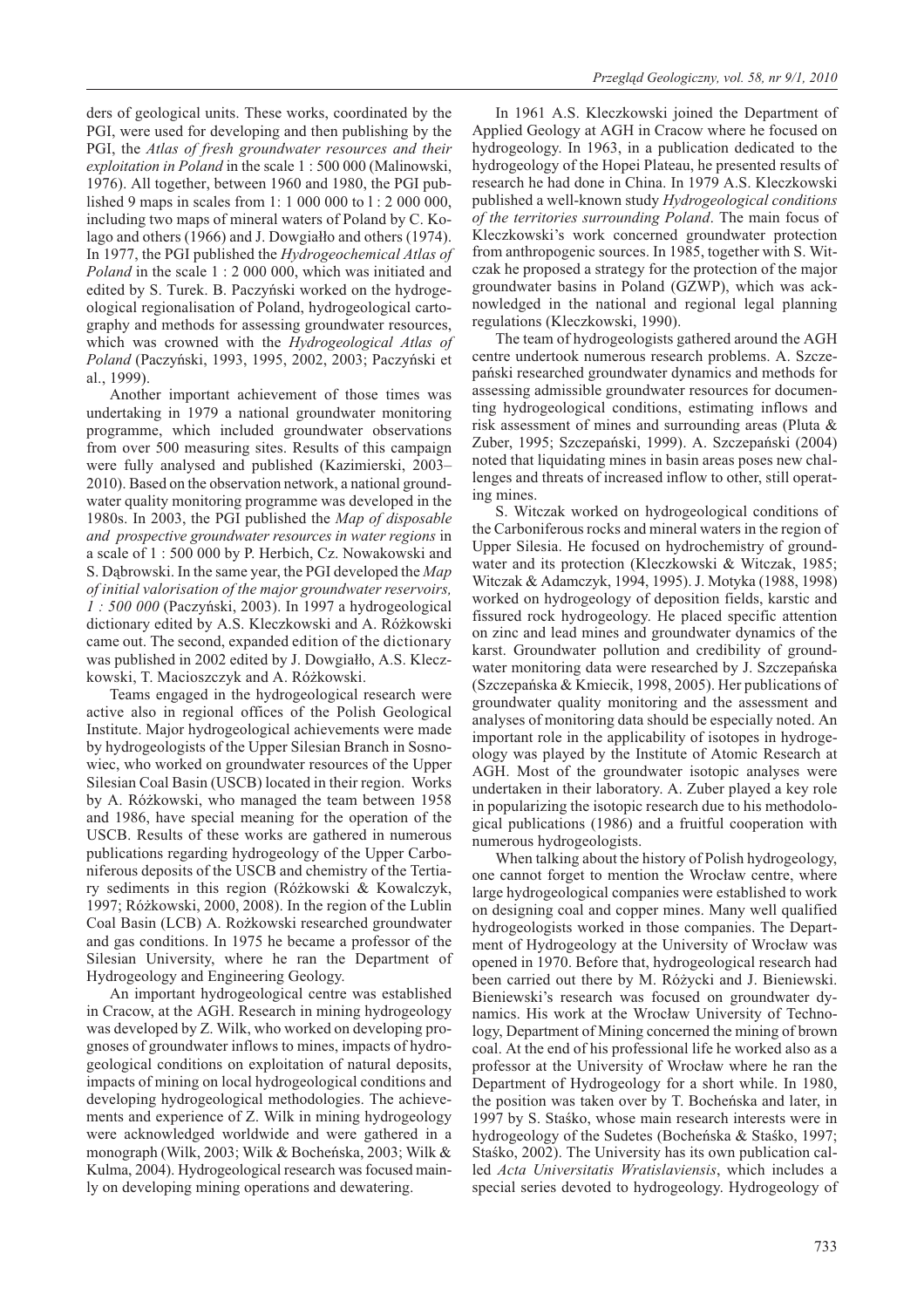ders of geological units. These works, coordinated by the PGI, were used for developing and then publishing by the PGI, the *Atlas of fresh groundwater resources and their exploitation in Poland* in the scale 1 : 500 000 (Malinowski, 1976). All together, between 1960 and 1980, the PGI published 9 maps in scales from 1: 1 000 000 to l : 2 000 000, including two maps of mineral waters of Poland by C. Kolago and others (1966) and J. Dowgiałło and others (1974). In 1977, the PGI published the *Hydrogeochemical Atlas of Poland* in the scale 1 : 2 000 000, which was initiated and edited by S. Turek. B. Paczyñski worked on the hydrogeological regionalisation of Poland, hydrogeological cartography and methods for assessing groundwater resources, which was crowned with the *Hydrogeological Atlas of Poland* (Paczyñski, 1993, 1995, 2002, 2003; Paczyñski et al., 1999).

Another important achievement of those times was undertaking in 1979 a national groundwater monitoring programme, which included groundwater observations from over 500 measuring sites. Results of this campaign were fully analysed and published (Kazimierski, 2003– 2010). Based on the observation network, a national groundwater quality monitoring programme was developed in the 1980s. In 2003, the PGI published the *Map of disposable and prospective groundwater resources in water regions* in a scale of 1 : 500 000 by P. Herbich, Cz. Nowakowski and S. Dabrowski. In the same year, the PGI developed the *Map of initial valorisation of the major groundwater reservoirs, 1 : 500 000* (Paczyñski, 2003). In 1997 a hydrogeological dictionary edited by A.S. Kleczkowski and A. Ró¿kowski came out. The second, expanded edition of the dictionary was published in 2002 edited by J. Dowgiałło, A.S. Kleczkowski, T. Macioszczyk and A. Ró¿kowski.

Teams engaged in the hydrogeological research were active also in regional offices of the Polish Geological Institute. Major hydrogeological achievements were made by hydrogeologists of the Upper Silesian Branch in Sosnowiec, who worked on groundwater resources of the Upper Silesian Coal Basin (USCB) located in their region. Works by A. Ró¿kowski, who managed the team between 1958 and 1986, have special meaning for the operation of the USCB. Results of these works are gathered in numerous publications regarding hydrogeology of the Upper Carboniferous deposits of the USCB and chemistry of the Tertiary sediments in this region (Ró¿kowski & Kowalczyk, 1997; Ró¿kowski, 2000, 2008). In the region of the Lublin Coal Basin (LCB) A. Ro¿kowski researched groundwater and gas conditions. In 1975 he became a professor of the Silesian University, where he ran the Department of Hydrogeology and Engineering Geology.

An important hydrogeological centre was established in Cracow, at the AGH. Research in mining hydrogeology was developed by Z. Wilk, who worked on developing prognoses of groundwater inflows to mines, impacts of hydrogeological conditions on exploitation of natural deposits, impacts of mining on local hydrogeological conditions and developing hydrogeological methodologies. The achievements and experience of Z. Wilk in mining hydrogeology were acknowledged worldwide and were gathered in a monograph (Wilk, 2003; Wilk & Bocheñska, 2003; Wilk & Kulma, 2004). Hydrogeological research was focused mainly on developing mining operations and dewatering.

In 1961 A.S. Kleczkowski joined the Department of Applied Geology at AGH in Cracow where he focused on hydrogeology. In 1963, in a publication dedicated to the hydrogeology of the Hopei Plateau, he presented results of research he had done in China. In 1979 A.S. Kleczkowski published a well-known study *Hydrogeological conditions of the territories surrounding Poland*. The main focus of Kleczkowski's work concerned groundwater protection from anthropogenic sources. In 1985, together with S. Witczak he proposed a strategy for the protection of the major groundwater basins in Poland (GZWP), which was acknowledged in the national and regional legal planning regulations (Kleczkowski, 1990).

The team of hydrogeologists gathered around the AGH centre undertook numerous research problems. A. Szczepañski researched groundwater dynamics and methods for assessing admissible groundwater resources for documenting hydrogeological conditions, estimating inflows and risk assessment of mines and surrounding areas (Pluta & Zuber, 1995; Szczepañski, 1999). A. Szczepañski (2004) noted that liquidating mines in basin areas poses new challenges and threats of increased inflow to other, still operating mines.

S. Witczak worked on hydrogeological conditions of the Carboniferous rocks and mineral waters in the region of Upper Silesia. He focused on hydrochemistry of groundwater and its protection (Kleczkowski & Witczak, 1985; Witczak & Adamczyk, 1994, 1995). J. Motyka (1988, 1998) worked on hydrogeology of deposition fields, karstic and fissured rock hydrogeology. He placed specific attention on zinc and lead mines and groundwater dynamics of the karst. Groundwater pollution and credibility of groundwater monitoring data were researched by J. Szczepañska (Szczepañska & Kmiecik, 1998, 2005). Her publications of groundwater quality monitoring and the assessment and analyses of monitoring data should be especially noted. An important role in the applicability of isotopes in hydrogeology was played by the Institute of Atomic Research at AGH. Most of the groundwater isotopic analyses were undertaken in their laboratory. A. Zuber played a key role in popularizing the isotopic research due to his methodological publications (1986) and a fruitful cooperation with numerous hydrogeologists.

When talking about the history of Polish hydrogeology, one cannot forget to mention the Wrocław centre, where large hydrogeological companies were established to work on designing coal and copper mines. Many well qualified hydrogeologists worked in those companies. The Department of Hydrogeology at the University of Wrocław was opened in 1970. Before that, hydrogeological research had been carried out there by M. Ró¿ycki and J. Bieniewski. Bieniewski's research was focused on groundwater dynamics. His work at the Wrocław University of Technology, Department of Mining concerned the mining of brown coal. At the end of his professional life he worked also as a professor at the University of Wrocław where he ran the Department of Hydrogeology for a short while. In 1980, the position was taken over by T. Bocheñska and later, in 1997 by S. Stasko, whose main research interests were in hydrogeology of the Sudetes (Bocheńska & Staśko, 1997; Staśko, 2002). The University has its own publication called *Acta Universitatis Wratislaviensis*, which includes a special series devoted to hydrogeology. Hydrogeology of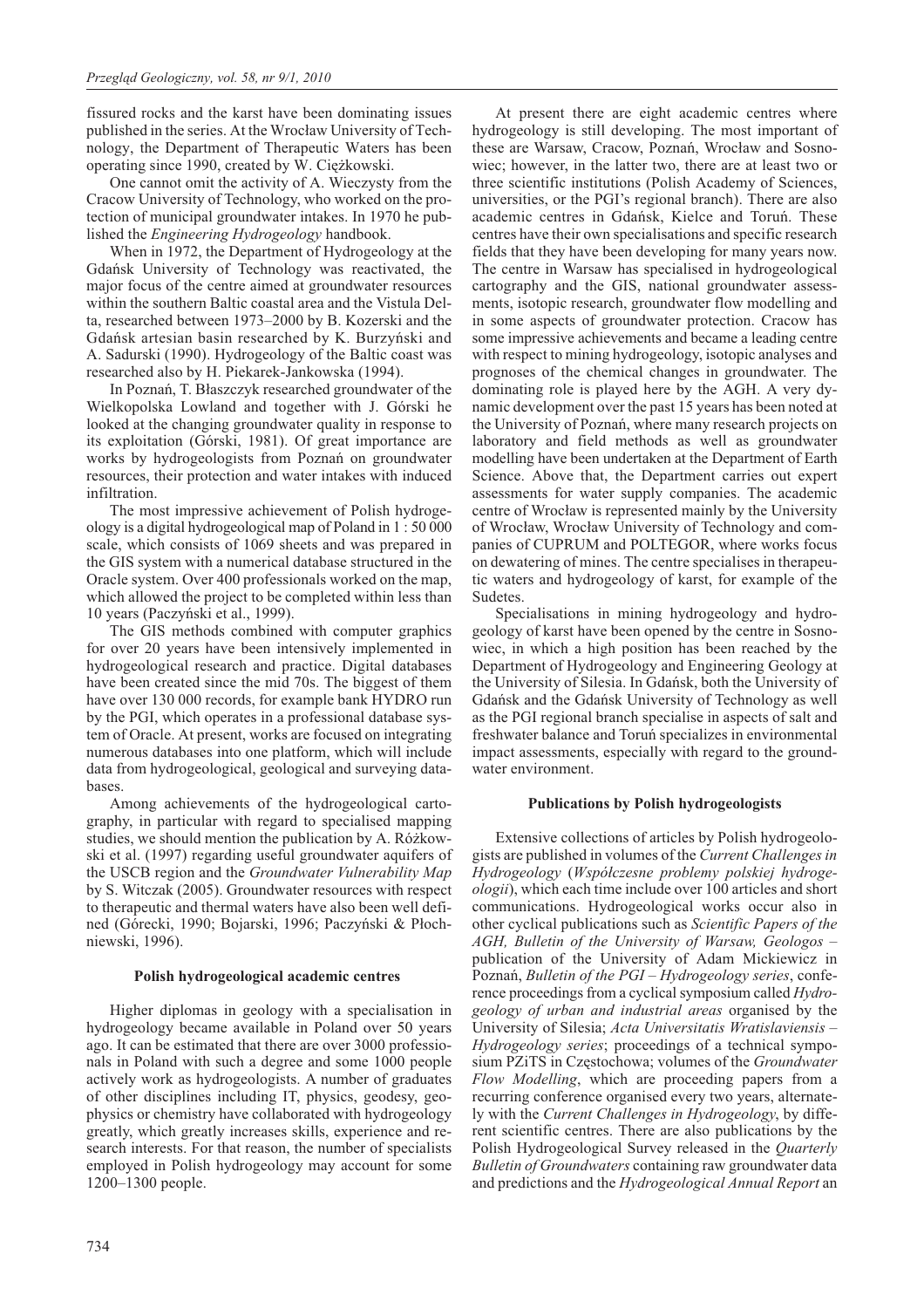fissured rocks and the karst have been dominating issues published in the series. At the Wrocław University of Technology, the Department of Therapeutic Waters has been operating since 1990, created by W. Ciężkowski.

One cannot omit the activity of A. Wieczysty from the Cracow University of Technology, who worked on the protection of municipal groundwater intakes. In 1970 he published the *Engineering Hydrogeology* handbook.

When in 1972, the Department of Hydrogeology at the Gdañsk University of Technology was reactivated, the major focus of the centre aimed at groundwater resources within the southern Baltic coastal area and the Vistula Delta, researched between 1973–2000 by B. Kozerski and the Gdañsk artesian basin researched by K. Burzyñski and A. Sadurski (1990). Hydrogeology of the Baltic coast was researched also by H. Piekarek-Jankowska (1994).

In Poznañ, T. B³aszczyk researched groundwater of the Wielkopolska Lowland and together with J. Górski he looked at the changing groundwater quality in response to its exploitation (Górski, 1981). Of great importance are works by hydrogeologists from Poznañ on groundwater resources, their protection and water intakes with induced infiltration.

The most impressive achievement of Polish hydrogeology is a digital hydrogeological map of Poland in 1 : 50 000 scale, which consists of 1069 sheets and was prepared in the GIS system with a numerical database structured in the Oracle system. Over 400 professionals worked on the map, which allowed the project to be completed within less than 10 years (Paczyñski et al., 1999).

The GIS methods combined with computer graphics for over 20 years have been intensively implemented in hydrogeological research and practice. Digital databases have been created since the mid 70s. The biggest of them have over 130 000 records, for example bank HYDRO run by the PGI, which operates in a professional database system of Oracle. At present, works are focused on integrating numerous databases into one platform, which will include data from hydrogeological, geological and surveying databases.

Among achievements of the hydrogeological cartography, in particular with regard to specialised mapping studies, we should mention the publication by A. Różkowski et al. (1997) regarding useful groundwater aquifers of the USCB region and the *Groundwater Vulnerability Map* by S. Witczak (2005). Groundwater resources with respect to therapeutic and thermal waters have also been well defined (Górecki, 1990; Bojarski, 1996; Paczyński & Płochniewski, 1996).

## **Polish hydrogeological academic centres**

Higher diplomas in geology with a specialisation in hydrogeology became available in Poland over 50 years ago. It can be estimated that there are over 3000 professionals in Poland with such a degree and some 1000 people actively work as hydrogeologists. A number of graduates of other disciplines including IT, physics, geodesy, geophysics or chemistry have collaborated with hydrogeology greatly, which greatly increases skills, experience and research interests. For that reason, the number of specialists employed in Polish hydrogeology may account for some 1200–1300 people.

At present there are eight academic centres where hydrogeology is still developing. The most important of these are Warsaw, Cracow, Poznań, Wrocław and Sosnowiec; however, in the latter two, there are at least two or three scientific institutions (Polish Academy of Sciences, universities, or the PGI's regional branch). There are also academic centres in Gdañsk, Kielce and Toruñ. These centres have their own specialisations and specific research fields that they have been developing for many years now. The centre in Warsaw has specialised in hydrogeological cartography and the GIS, national groundwater assessments, isotopic research, groundwater flow modelling and in some aspects of groundwater protection. Cracow has some impressive achievements and became a leading centre with respect to mining hydrogeology, isotopic analyses and prognoses of the chemical changes in groundwater. The dominating role is played here by the AGH. A very dynamic development over the past 15 years has been noted at the University of Poznañ, where many research projects on laboratory and field methods as well as groundwater modelling have been undertaken at the Department of Earth Science. Above that, the Department carries out expert assessments for water supply companies. The academic centre of Wrocław is represented mainly by the University of Wroc³aw, Wroc³aw University of Technology and companies of CUPRUM and POLTEGOR, where works focus on dewatering of mines. The centre specialises in therapeutic waters and hydrogeology of karst, for example of the Sudetes.

Specialisations in mining hydrogeology and hydrogeology of karst have been opened by the centre in Sosnowiec, in which a high position has been reached by the Department of Hydrogeology and Engineering Geology at the University of Silesia. In Gdañsk, both the University of Gdañsk and the Gdañsk University of Technology as well as the PGI regional branch specialise in aspects of salt and freshwater balance and Toruñ specializes in environmental impact assessments, especially with regard to the groundwater environment.

## **Publications by Polish hydrogeologists**

Extensive collections of articles by Polish hydrogeologists are published in volumes of the *Current Challenges in Hydrogeology* (*Wspó³czesne problemy polskiej hydrogeologii*), which each time include over 100 articles and short communications. Hydrogeological works occur also in other cyclical publications such as *Scientific Papers of the AGH, Bulletin of the University of Warsaw, Geologos* – publication of the University of Adam Mickiewicz in Poznañ, *Bulletin of the PGI – Hydrogeology series*, conference proceedings from a cyclical symposium called *Hydrogeology of urban and industrial areas* organised by the University of Silesia; *Acta Universitatis Wratislaviensis – Hydrogeology series*; proceedings of a technical symposium PZiTS in Czêstochowa; volumes of the *Groundwater Flow Modelling*, which are proceeding papers from a recurring conference organised every two years, alternately with the *Current Challenges in Hydrogeology*, by different scientific centres. There are also publications by the Polish Hydrogeological Survey released in the *Quarterly Bulletin of Groundwaters* containing raw groundwater data and predictions and the *Hydrogeological Annual Report* an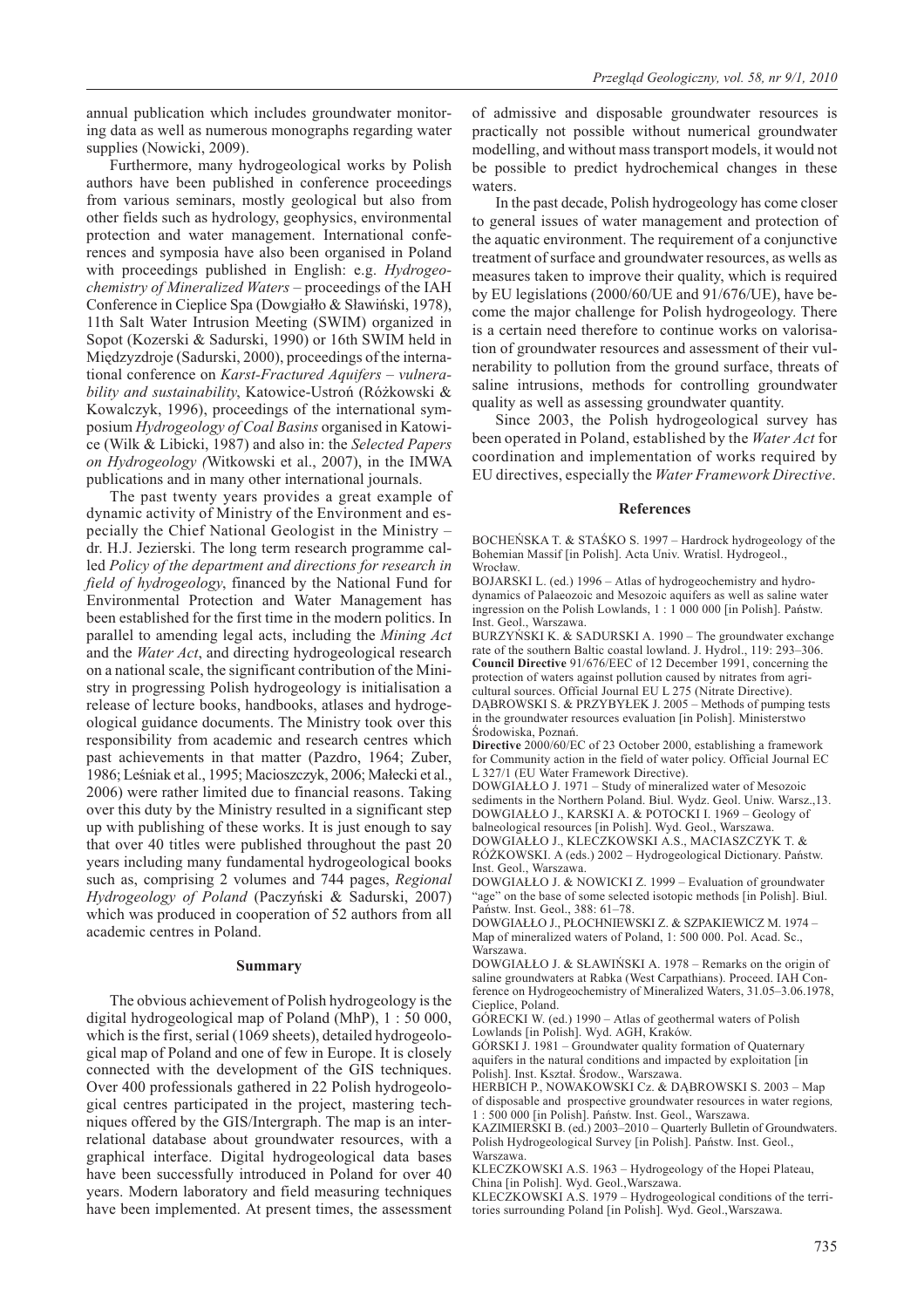annual publication which includes groundwater monitoring data as well as numerous monographs regarding water supplies (Nowicki, 2009).

Furthermore, many hydrogeological works by Polish authors have been published in conference proceedings from various seminars, mostly geological but also from other fields such as hydrology, geophysics, environmental protection and water management. International conferences and symposia have also been organised in Poland with proceedings published in English: e.g. *Hydrogeochemistry of Mineralized Waters* – proceedings of the IAH Conference in Cieplice Spa (Dowgiałło & Sławiński, 1978), 11th Salt Water Intrusion Meeting (SWIM) organized in Sopot (Kozerski & Sadurski, 1990) or 16th SWIM held in Miêdzyzdroje (Sadurski, 2000), proceedings of the international conference on *Karst-Fractured Aquifers – vulnerability and sustainability*, Katowice-Ustroñ (Ró¿kowski & Kowalczyk, 1996), proceedings of the international symposium *Hydrogeology of Coal Basins* organised in Katowice (Wilk & Libicki, 1987) and also in: the *Selected Papers on Hydrogeology (*Witkowski et al., 2007), in the IMWA publications and in many other international journals.

The past twenty years provides a great example of dynamic activity of Ministry of the Environment and especially the Chief National Geologist in the Ministry – dr. H.J. Jezierski. The long term research programme called *Policy of the department and directions for research in field of hydrogeology*, financed by the National Fund for Environmental Protection and Water Management has been established for the first time in the modern politics. In parallel to amending legal acts, including the *Mining Act* and the *Water Act*, and directing hydrogeological research on a national scale, the significant contribution of the Ministry in progressing Polish hydrogeology is initialisation a release of lecture books, handbooks, atlases and hydrogeological guidance documents. The Ministry took over this responsibility from academic and research centres which past achievements in that matter (Pazdro, 1964; Zuber, 1986; Leśniak et al., 1995; Macioszczyk, 2006; Małecki et al., 2006) were rather limited due to financial reasons. Taking over this duty by the Ministry resulted in a significant step up with publishing of these works. It is just enough to say that over 40 titles were published throughout the past 20 years including many fundamental hydrogeological books such as, comprising 2 volumes and 744 pages, *Regional Hydrogeology of Poland* (Paczyñski & Sadurski, 2007) which was produced in cooperation of 52 authors from all academic centres in Poland.

#### **Summary**

The obvious achievement of Polish hydrogeology is the digital hydrogeological map of Poland (MhP), 1 : 50 000, which is the first, serial (1069 sheets), detailed hydrogeological map of Poland and one of few in Europe. It is closely connected with the development of the GIS techniques. Over 400 professionals gathered in 22 Polish hydrogeological centres participated in the project, mastering techniques offered by the GIS/Intergraph. The map is an interrelational database about groundwater resources, with a graphical interface. Digital hydrogeological data bases have been successfully introduced in Poland for over 40 years. Modern laboratory and field measuring techniques have been implemented. At present times, the assessment of admissive and disposable groundwater resources is practically not possible without numerical groundwater modelling, and without mass transport models, it would not be possible to predict hydrochemical changes in these waters.

In the past decade, Polish hydrogeology has come closer to general issues of water management and protection of the aquatic environment. The requirement of a conjunctive treatment of surface and groundwater resources, as wells as measures taken to improve their quality, which is required by EU legislations (2000/60/UE and 91/676/UE), have become the major challenge for Polish hydrogeology. There is a certain need therefore to continue works on valorisation of groundwater resources and assessment of their vulnerability to pollution from the ground surface, threats of saline intrusions, methods for controlling groundwater quality as well as assessing groundwater quantity.

Since 2003, the Polish hydrogeological survey has been operated in Poland, established by the *Water Act* for coordination and implementation of works required by EU directives, especially the *Water Framework Directive*.

#### **References**

BOCHEŃSKA T. & STAŚKO S. 1997 – Hardrock hydrogeology of the Bohemian Massif [in Polish]. Acta Univ. Wratisl. Hydrogeol., Wrocław.

BOJARSKI L. (ed.) 1996 – Atlas of hydrogeochemistry and hydrodynamics of Palaeozoic and Mesozoic aquifers as well as saline water ingression on the Polish Lowlands, 1 : 1 000 000 [in Polish]. Pañstw. Inst. Geol., Warszawa.

BURZYÑSKI K. & SADURSKI A. 1990 – The groundwater exchange rate of the southern Baltic coastal lowland. J. Hydrol., 119: 293–306. **Council Directive** 91/676/EEC of 12 December 1991, concerning the protection of waters against pollution caused by nitrates from agricultural sources. Official Journal EU L 275 (Nitrate Directive). DABROWSKI S. & PRZYBYŁEK J. 2005 – Methods of pumping tests in the groundwater resources evaluation [in Polish]. Ministerstwo Środowiska, Poznań.

**Directive** 2000/60/EC of 23 October 2000, establishing a framework for Community action in the field of water policy. Official Journal EC L 327/1 (EU Water Framework Directive).

DOWGIA££O J. 1971 – Study of mineralized water of Mesozoic sediments in the Northern Poland. Biul. Wydz. Geol. Uniw. Warsz.,13. DOWGIA££O J., KARSKI A. & POTOCKI I. 1969 – Geology of balneological resources [in Polish]. Wyd. Geol., Warszawa.

DOWGIA££O J., KLECZKOWSKI A.S., MACIASZCZYK T. & RÓŻKOWSKI. A (eds.) 2002 – Hydrogeological Dictionary. Państw. Inst. Geol., Warszawa.

DOWGIA££O J. & NOWICKI Z. 1999 – Evaluation of groundwater "age" on the base of some selected isotopic methods [in Polish]. Biul. Pañstw. Inst. Geol., 388: 61–78.

DOWGIA££O J., P£OCHNIEWSKI Z. & SZPAKIEWICZ M. 1974 – Map of mineralized waters of Poland, 1: 500 000. Pol. Acad. Sc., Warszawa.

DOWGIA££O J. & S£AWIÑSKI A. 1978 – Remarks on the origin of saline groundwaters at Rabka (West Carpathians). Proceed. IAH Conference on Hydrogeochemistry of Mineralized Waters, 31.05–3.06.1978, Cieplice, Poland.

GÓRECKI W. (ed.) 1990 – Atlas of geothermal waters of Polish Lowlands [in Polish]. Wyd. AGH, Kraków.

GÓRSKI J. 1981 – Groundwater quality formation of Quaternary aquifers in the natural conditions and impacted by exploitation [in Polish]. Inst. Kształ. Środow., Warszawa.

HERBICH P., NOWAKOWSKI Cz. & DĄBROWSKI S. 2003 – Map of disposable and prospective groundwater resources in water regions*,* : 500 000 [in Polish]. Państw. Inst. Geol., Warszawa.

KAZIMIERSKI B. (ed.) 2003–2010 – Quarterly Bulletin of Groundwaters. Polish Hydrogeological Survey [in Polish]. Pañstw. Inst. Geol., Warszawa.

KLECZKOWSKI A.S. 1963 – Hydrogeology of the Hopei Plateau,

China [in Polish]. Wyd. Geol.,Warszawa.

KLECZKOWSKI A.S. 1979 – Hydrogeological conditions of the territories surrounding Poland [in Polish]. Wyd. Geol.,Warszawa.